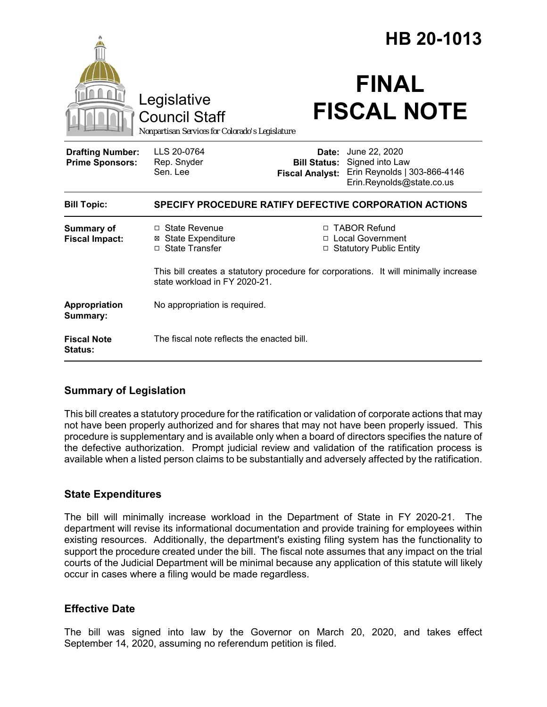|                                                   |                                                                                                                       | HB 20-1013             |                                                                                                                                |
|---------------------------------------------------|-----------------------------------------------------------------------------------------------------------------------|------------------------|--------------------------------------------------------------------------------------------------------------------------------|
|                                                   | Legislative<br><b>Council Staff</b><br>Nonpartisan Services for Colorado's Legislature                                |                        | <b>FINAL</b><br><b>FISCAL NOTE</b>                                                                                             |
| <b>Drafting Number:</b><br><b>Prime Sponsors:</b> | LLS 20-0764<br>Rep. Snyder<br>Sen. Lee                                                                                | <b>Fiscal Analyst:</b> | <b>Date:</b> June 22, 2020<br><b>Bill Status:</b> Signed into Law<br>Erin Reynolds   303-866-4146<br>Erin.Reynolds@state.co.us |
| <b>Bill Topic:</b>                                | SPECIFY PROCEDURE RATIFY DEFECTIVE CORPORATION ACTIONS                                                                |                        |                                                                                                                                |
| <b>Summary of</b><br><b>Fiscal Impact:</b>        | $\Box$ State Revenue<br><b>⊠</b> State Expenditure<br>□ State Transfer                                                |                        | □ TABOR Refund<br>□ Local Government<br>□ Statutory Public Entity                                                              |
|                                                   | This bill creates a statutory procedure for corporations. It will minimally increase<br>state workload in FY 2020-21. |                        |                                                                                                                                |
| Appropriation<br>Summary:                         | No appropriation is required.                                                                                         |                        |                                                                                                                                |
| <b>Fiscal Note</b><br>Status:                     | The fiscal note reflects the enacted bill.                                                                            |                        |                                                                                                                                |

## **Summary of Legislation**

This bill creates a statutory procedure for the ratification or validation of corporate actions that may not have been properly authorized and for shares that may not have been properly issued. This procedure is supplementary and is available only when a board of directors specifies the nature of the defective authorization. Prompt judicial review and validation of the ratification process is available when a listed person claims to be substantially and adversely affected by the ratification.

## **State Expenditures**

The bill will minimally increase workload in the Department of State in FY 2020-21. The department will revise its informational documentation and provide training for employees within existing resources. Additionally, the department's existing filing system has the functionality to support the procedure created under the bill. The fiscal note assumes that any impact on the trial courts of the Judicial Department will be minimal because any application of this statute will likely occur in cases where a filing would be made regardless.

## **Effective Date**

The bill was signed into law by the Governor on March 20, 2020, and takes effect September 14, 2020, assuming no referendum petition is filed.